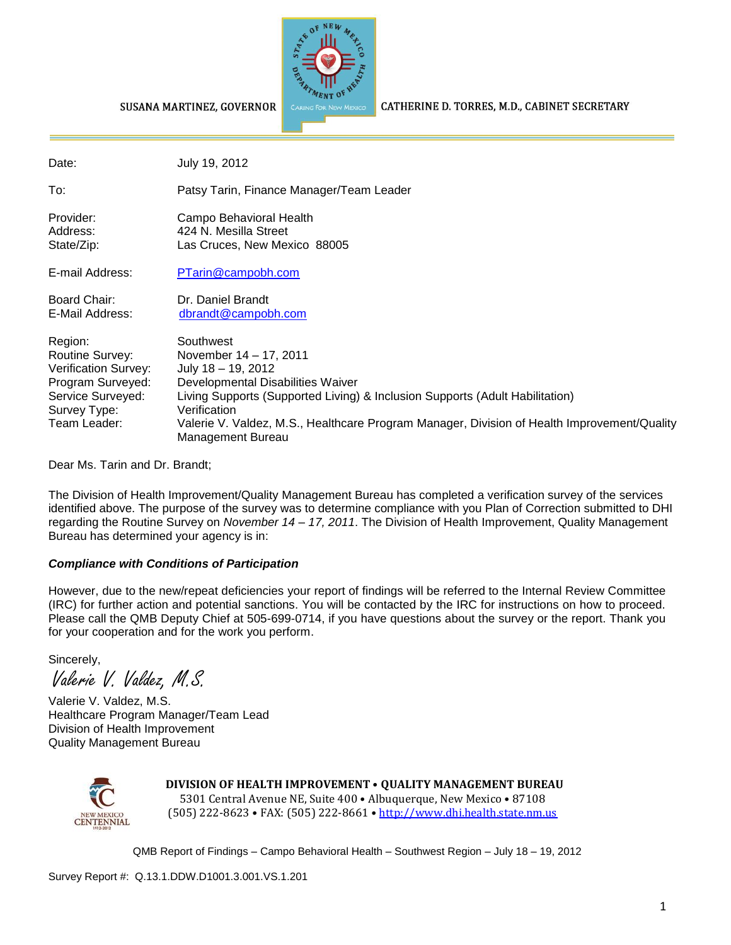

CATHERINE D. TORRES, M.D., CABINET SECRETARY

SUSANA MARTINEZ, GOVERNOR

| Date:                                                                                                                        | July 19, 2012                                                                                                                                                                                                                                                                                                         |
|------------------------------------------------------------------------------------------------------------------------------|-----------------------------------------------------------------------------------------------------------------------------------------------------------------------------------------------------------------------------------------------------------------------------------------------------------------------|
| To:                                                                                                                          | Patsy Tarin, Finance Manager/Team Leader                                                                                                                                                                                                                                                                              |
| Provider:<br>Address:<br>State/Zip:                                                                                          | Campo Behavioral Health<br>424 N. Mesilla Street<br>Las Cruces, New Mexico 88005                                                                                                                                                                                                                                      |
| E-mail Address:                                                                                                              | PTarin@campobh.com                                                                                                                                                                                                                                                                                                    |
| Board Chair:<br>E-Mail Address:                                                                                              | Dr. Daniel Brandt<br>dbrandt@campobh.com                                                                                                                                                                                                                                                                              |
| Region:<br>Routine Survey:<br>Verification Survey:<br>Program Surveyed:<br>Service Surveyed:<br>Survey Type:<br>Team Leader: | Southwest<br>November 14 – 17, 2011<br>July $18 - 19$ , 2012<br>Developmental Disabilities Waiver<br>Living Supports (Supported Living) & Inclusion Supports (Adult Habilitation)<br>Verification<br>Valerie V. Valdez, M.S., Healthcare Program Manager, Division of Health Improvement/Quality<br>Management Bureau |

Dear Ms. Tarin and Dr. Brandt;

The Division of Health Improvement/Quality Management Bureau has completed a verification survey of the services identified above. The purpose of the survey was to determine compliance with you Plan of Correction submitted to DHI regarding the Routine Survey on *November 14 – 17, 2011*. The Division of Health Improvement, Quality Management Bureau has determined your agency is in:

#### *Compliance with Conditions of Participation*

However, due to the new/repeat deficiencies your report of findings will be referred to the Internal Review Committee (IRC) for further action and potential sanctions. You will be contacted by the IRC for instructions on how to proceed. Please call the QMB Deputy Chief at 505-699-0714, if you have questions about the survey or the report. Thank you for your cooperation and for the work you perform.

Sincerely,

Valerie V. Valdez, M.S.

Valerie V. Valdez, M.S. Healthcare Program Manager/Team Lead Division of Health Improvement Quality Management Bureau



**DIVISION OF HEALTH IMPROVEMENT** • **QUALITY MANAGEMENT BUREAU** 5301 Central Avenue NE, Suite 400 • Albuquerque, New Mexico • 87108 (505) 222-8623 • FAX: (505) 222-8661 • http://www.dhi.health.state.nm.us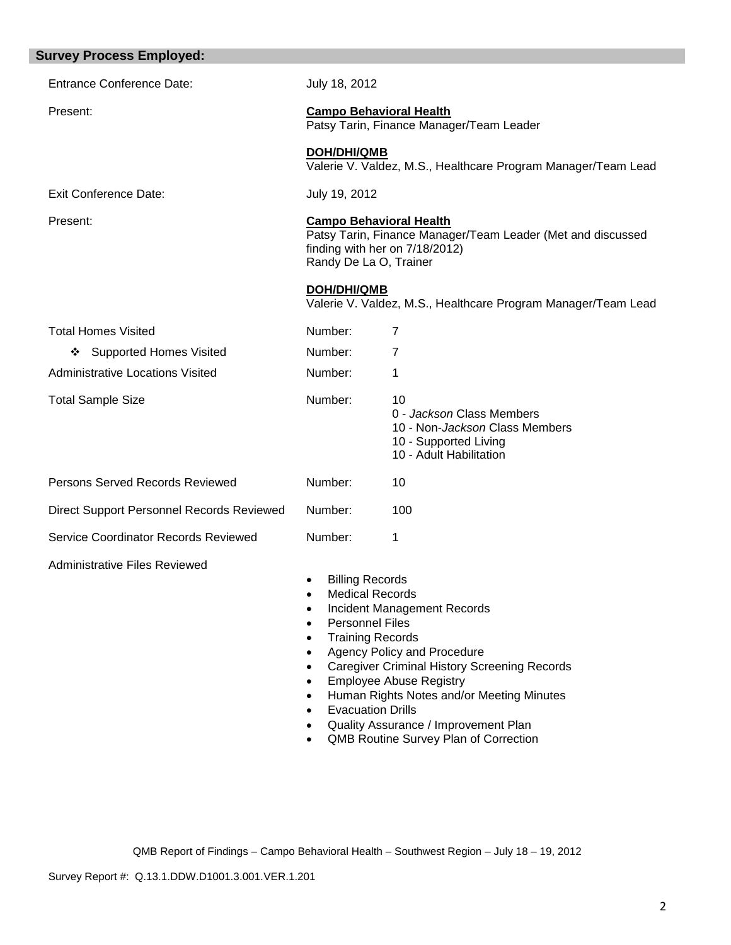| <b>Survey Process Employed:</b>                  |                                                                                                                                                                                                                                                                                                                                                                                                                                                                                                      |                                                                                                                       |  |
|--------------------------------------------------|------------------------------------------------------------------------------------------------------------------------------------------------------------------------------------------------------------------------------------------------------------------------------------------------------------------------------------------------------------------------------------------------------------------------------------------------------------------------------------------------------|-----------------------------------------------------------------------------------------------------------------------|--|
| <b>Entrance Conference Date:</b>                 | July 18, 2012                                                                                                                                                                                                                                                                                                                                                                                                                                                                                        |                                                                                                                       |  |
| Present:                                         |                                                                                                                                                                                                                                                                                                                                                                                                                                                                                                      | <b>Campo Behavioral Health</b><br>Patsy Tarin, Finance Manager/Team Leader                                            |  |
|                                                  | <b>DOH/DHI/QMB</b>                                                                                                                                                                                                                                                                                                                                                                                                                                                                                   | Valerie V. Valdez, M.S., Healthcare Program Manager/Team Lead                                                         |  |
| <b>Exit Conference Date:</b>                     |                                                                                                                                                                                                                                                                                                                                                                                                                                                                                                      | July 19, 2012                                                                                                         |  |
| Present:                                         | <b>Campo Behavioral Health</b><br>Patsy Tarin, Finance Manager/Team Leader (Met and discussed<br>finding with her on 7/18/2012)<br>Randy De La O, Trainer                                                                                                                                                                                                                                                                                                                                            |                                                                                                                       |  |
|                                                  | <b>DOH/DHI/QMB</b>                                                                                                                                                                                                                                                                                                                                                                                                                                                                                   | Valerie V. Valdez, M.S., Healthcare Program Manager/Team Lead                                                         |  |
| <b>Total Homes Visited</b>                       | Number:                                                                                                                                                                                                                                                                                                                                                                                                                                                                                              | $\overline{7}$                                                                                                        |  |
| <b>Supported Homes Visited</b><br>❖              | Number:                                                                                                                                                                                                                                                                                                                                                                                                                                                                                              | 7                                                                                                                     |  |
| <b>Administrative Locations Visited</b>          | Number:                                                                                                                                                                                                                                                                                                                                                                                                                                                                                              | 1                                                                                                                     |  |
| <b>Total Sample Size</b>                         | Number:                                                                                                                                                                                                                                                                                                                                                                                                                                                                                              | 10<br>0 - Jackson Class Members<br>10 - Non-Jackson Class Members<br>10 - Supported Living<br>10 - Adult Habilitation |  |
| Persons Served Records Reviewed                  | Number:                                                                                                                                                                                                                                                                                                                                                                                                                                                                                              | 10                                                                                                                    |  |
| <b>Direct Support Personnel Records Reviewed</b> | Number:                                                                                                                                                                                                                                                                                                                                                                                                                                                                                              | 100                                                                                                                   |  |
| Service Coordinator Records Reviewed             | Number:                                                                                                                                                                                                                                                                                                                                                                                                                                                                                              | 1                                                                                                                     |  |
| <b>Administrative Files Reviewed</b>             | <b>Billing Records</b><br>$\bullet$<br><b>Medical Records</b><br>Incident Management Records<br><b>Personnel Files</b><br><b>Training Records</b><br>Agency Policy and Procedure<br>$\bullet$<br><b>Caregiver Criminal History Screening Records</b><br>$\bullet$<br><b>Employee Abuse Registry</b><br>$\bullet$<br>Human Rights Notes and/or Meeting Minutes<br>$\bullet$<br><b>Evacuation Drills</b><br>Quality Assurance / Improvement Plan<br>QMB Routine Survey Plan of Correction<br>$\bullet$ |                                                                                                                       |  |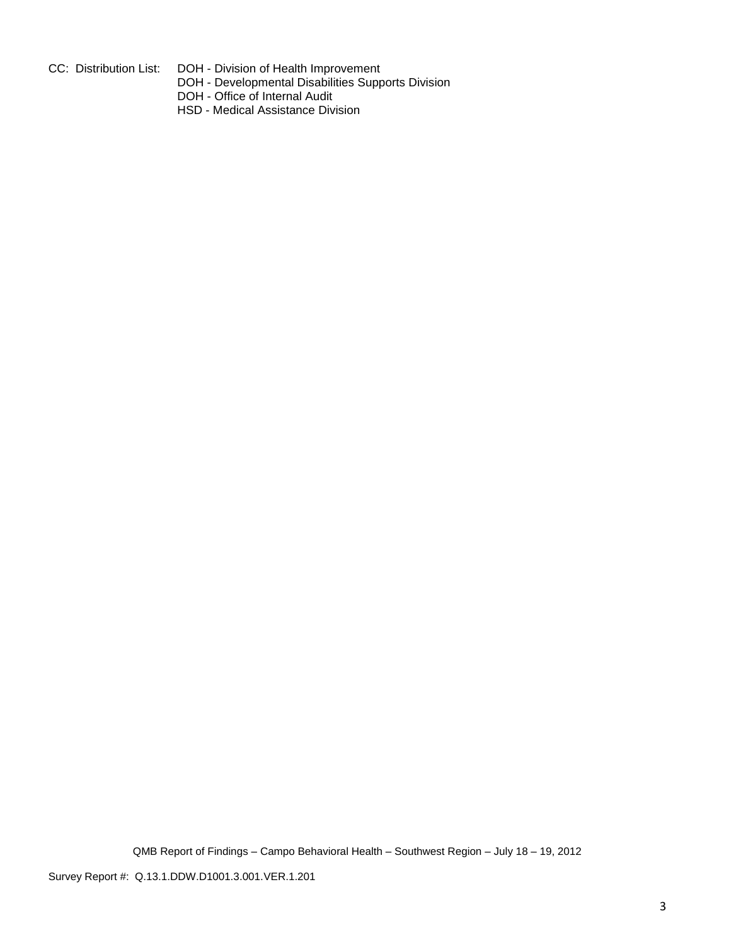- 
- CC: Distribution List: DOH Division of Health Improvement
	- DOH Developmental Disabilities Supports Division
	- DOH Office of Internal Audit
	- HSD Medical Assistance Division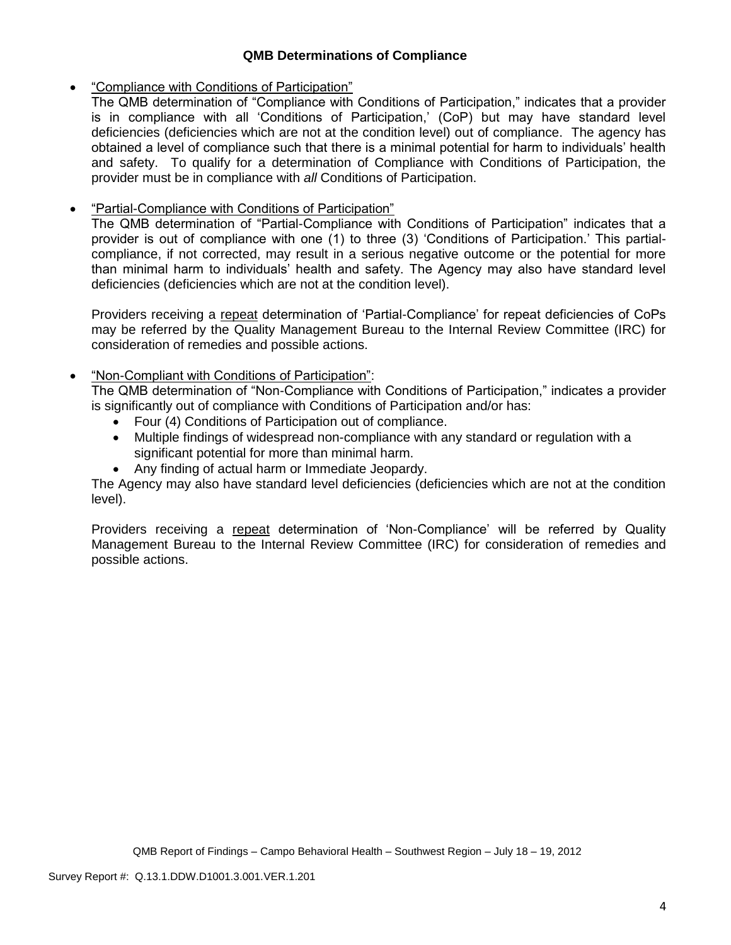### **QMB Determinations of Compliance**

## "Compliance with Conditions of Participation"

The QMB determination of "Compliance with Conditions of Participation," indicates that a provider is in compliance with all 'Conditions of Participation,' (CoP) but may have standard level deficiencies (deficiencies which are not at the condition level) out of compliance. The agency has obtained a level of compliance such that there is a minimal potential for harm to individuals' health and safety. To qualify for a determination of Compliance with Conditions of Participation, the provider must be in compliance with *all* Conditions of Participation.

# "Partial-Compliance with Conditions of Participation"

The QMB determination of "Partial-Compliance with Conditions of Participation" indicates that a provider is out of compliance with one (1) to three (3) 'Conditions of Participation.' This partialcompliance, if not corrected, may result in a serious negative outcome or the potential for more than minimal harm to individuals' health and safety. The Agency may also have standard level deficiencies (deficiencies which are not at the condition level).

Providers receiving a repeat determination of 'Partial-Compliance' for repeat deficiencies of CoPs may be referred by the Quality Management Bureau to the Internal Review Committee (IRC) for consideration of remedies and possible actions.

## "Non-Compliant with Conditions of Participation":

The QMB determination of "Non-Compliance with Conditions of Participation," indicates a provider is significantly out of compliance with Conditions of Participation and/or has:

- Four (4) Conditions of Participation out of compliance.
- Multiple findings of widespread non-compliance with any standard or regulation with a significant potential for more than minimal harm.
- Any finding of actual harm or Immediate Jeopardy.

The Agency may also have standard level deficiencies (deficiencies which are not at the condition level).

Providers receiving a repeat determination of 'Non-Compliance' will be referred by Quality Management Bureau to the Internal Review Committee (IRC) for consideration of remedies and possible actions.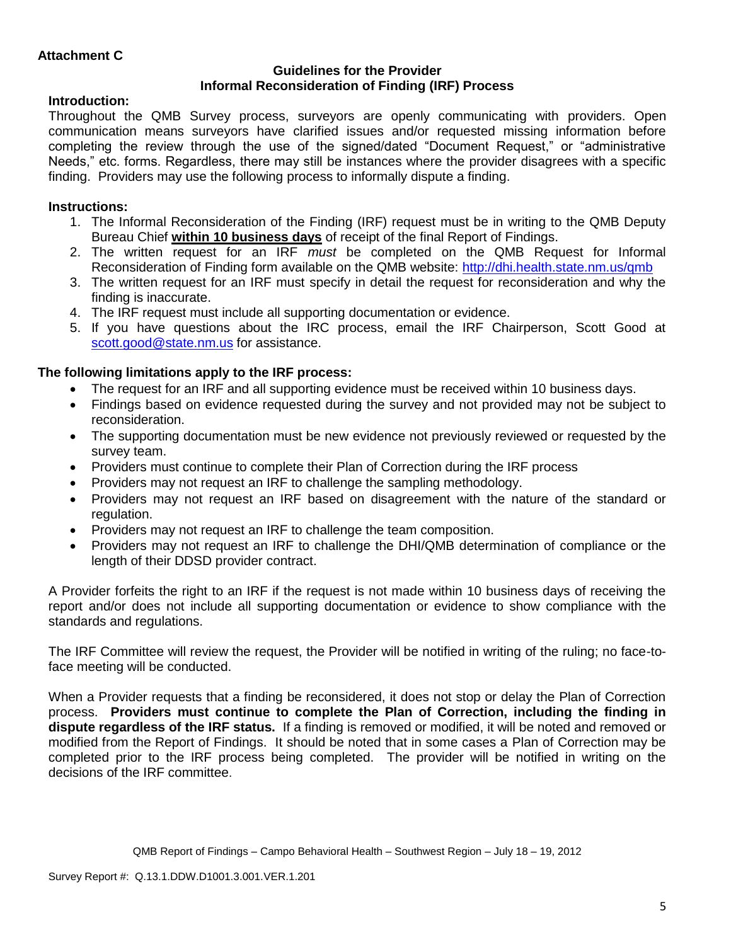#### **Guidelines for the Provider Informal Reconsideration of Finding (IRF) Process**

## **Introduction:**

Throughout the QMB Survey process, surveyors are openly communicating with providers. Open communication means surveyors have clarified issues and/or requested missing information before completing the review through the use of the signed/dated "Document Request," or "administrative Needs," etc. forms. Regardless, there may still be instances where the provider disagrees with a specific finding. Providers may use the following process to informally dispute a finding.

# **Instructions:**

- 1. The Informal Reconsideration of the Finding (IRF) request must be in writing to the QMB Deputy Bureau Chief **within 10 business days** of receipt of the final Report of Findings.
- 2. The written request for an IRF *must* be completed on the QMB Request for Informal Reconsideration of Finding form available on the QMB website:<http://dhi.health.state.nm.us/qmb>
- 3. The written request for an IRF must specify in detail the request for reconsideration and why the finding is inaccurate.
- 4. The IRF request must include all supporting documentation or evidence.
- 5. If you have questions about the IRC process, email the IRF Chairperson, Scott Good at [scott.good@state.nm.us](mailto:scott.good@state.nm.us) for assistance.

## **The following limitations apply to the IRF process:**

- The request for an IRF and all supporting evidence must be received within 10 business days.
- Findings based on evidence requested during the survey and not provided may not be subject to reconsideration.
- The supporting documentation must be new evidence not previously reviewed or requested by the survey team.
- Providers must continue to complete their Plan of Correction during the IRF process
- Providers may not request an IRF to challenge the sampling methodology.
- Providers may not request an IRF based on disagreement with the nature of the standard or regulation.
- Providers may not request an IRF to challenge the team composition.
- Providers may not request an IRF to challenge the DHI/QMB determination of compliance or the length of their DDSD provider contract.

A Provider forfeits the right to an IRF if the request is not made within 10 business days of receiving the report and/or does not include all supporting documentation or evidence to show compliance with the standards and regulations.

The IRF Committee will review the request, the Provider will be notified in writing of the ruling; no face-toface meeting will be conducted.

When a Provider requests that a finding be reconsidered, it does not stop or delay the Plan of Correction process. **Providers must continue to complete the Plan of Correction, including the finding in dispute regardless of the IRF status.** If a finding is removed or modified, it will be noted and removed or modified from the Report of Findings. It should be noted that in some cases a Plan of Correction may be completed prior to the IRF process being completed. The provider will be notified in writing on the decisions of the IRF committee.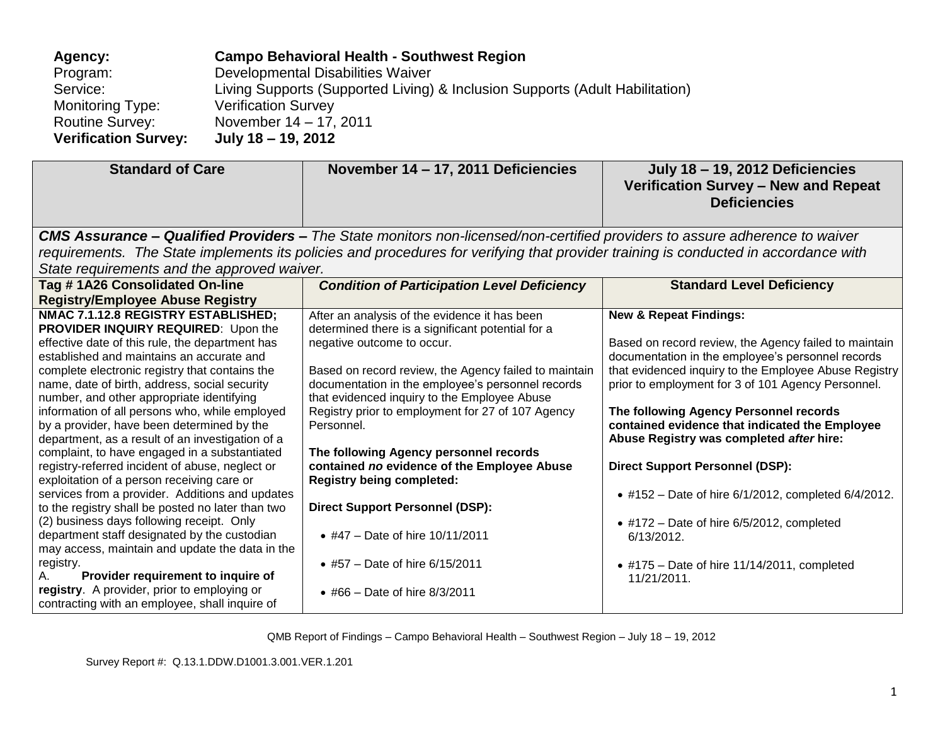| Agency:                     | <b>Campo Behavioral Health - Southwest Region</b>                            |
|-----------------------------|------------------------------------------------------------------------------|
| Program:                    | Developmental Disabilities Waiver                                            |
| Service:                    | Living Supports (Supported Living) & Inclusion Supports (Adult Habilitation) |
| Monitoring Type:            | <b>Verification Survey</b>                                                   |
| <b>Routine Survey:</b>      | November 14 – 17, 2011                                                       |
| <b>Verification Survey:</b> | July 18 – 19, 2012                                                           |

| <b>Standard of Care</b>                                                                                                                          | November 14 - 17, 2011 Deficiencies                                                                                                                        | July 18 - 19, 2012 Deficiencies<br>Verification Survey - New and Repeat<br><b>Deficiencies</b>                                       |
|--------------------------------------------------------------------------------------------------------------------------------------------------|------------------------------------------------------------------------------------------------------------------------------------------------------------|--------------------------------------------------------------------------------------------------------------------------------------|
|                                                                                                                                                  | <b>CMS Assurance – Qualified Providers –</b> The State monitors non-licensed/non-certified providers to assure adherence to waiver                         |                                                                                                                                      |
|                                                                                                                                                  | requirements. The State implements its policies and procedures for verifying that provider training is conducted in accordance with                        |                                                                                                                                      |
| State requirements and the approved waiver.                                                                                                      |                                                                                                                                                            |                                                                                                                                      |
| Tag #1A26 Consolidated On-line                                                                                                                   | <b>Condition of Participation Level Deficiency</b>                                                                                                         | <b>Standard Level Deficiency</b>                                                                                                     |
| <b>Registry/Employee Abuse Registry</b>                                                                                                          |                                                                                                                                                            |                                                                                                                                      |
| NMAC 7.1.12.8 REGISTRY ESTABLISHED;<br>PROVIDER INQUIRY REQUIRED: Upon the                                                                       | After an analysis of the evidence it has been<br>determined there is a significant potential for a                                                         | <b>New &amp; Repeat Findings:</b>                                                                                                    |
| effective date of this rule, the department has<br>established and maintains an accurate and                                                     | negative outcome to occur.                                                                                                                                 | Based on record review, the Agency failed to maintain<br>documentation in the employee's personnel records                           |
| complete electronic registry that contains the<br>name, date of birth, address, social security<br>number, and other appropriate identifying     | Based on record review, the Agency failed to maintain<br>documentation in the employee's personnel records<br>that evidenced inquiry to the Employee Abuse | that evidenced inquiry to the Employee Abuse Registry<br>prior to employment for 3 of 101 Agency Personnel.                          |
| information of all persons who, while employed<br>by a provider, have been determined by the<br>department, as a result of an investigation of a | Registry prior to employment for 27 of 107 Agency<br>Personnel.                                                                                            | The following Agency Personnel records<br>contained evidence that indicated the Employee<br>Abuse Registry was completed after hire: |
| complaint, to have engaged in a substantiated<br>registry-referred incident of abuse, neglect or<br>exploitation of a person receiving care or   | The following Agency personnel records<br>contained no evidence of the Employee Abuse<br><b>Registry being completed:</b>                                  | <b>Direct Support Personnel (DSP):</b>                                                                                               |
| services from a provider. Additions and updates<br>to the registry shall be posted no later than two                                             | <b>Direct Support Personnel (DSP):</b>                                                                                                                     | • #152 - Date of hire 6/1/2012, completed 6/4/2012.                                                                                  |
| (2) business days following receipt. Only<br>department staff designated by the custodian<br>may access, maintain and update the data in the     | • #47 - Date of hire $10/11/2011$                                                                                                                          | $\bullet$ #172 – Date of hire 6/5/2012, completed<br>6/13/2012.                                                                      |
| registry.<br>Provider requirement to inquire of<br>А.                                                                                            | • #57 – Date of hire $6/15/2011$                                                                                                                           | $\bullet$ #175 – Date of hire 11/14/2011, completed<br>11/21/2011.                                                                   |
| registry. A provider, prior to employing or<br>contracting with an employee, shall inquire of                                                    | • #66 - Date of hire $8/3/2011$                                                                                                                            |                                                                                                                                      |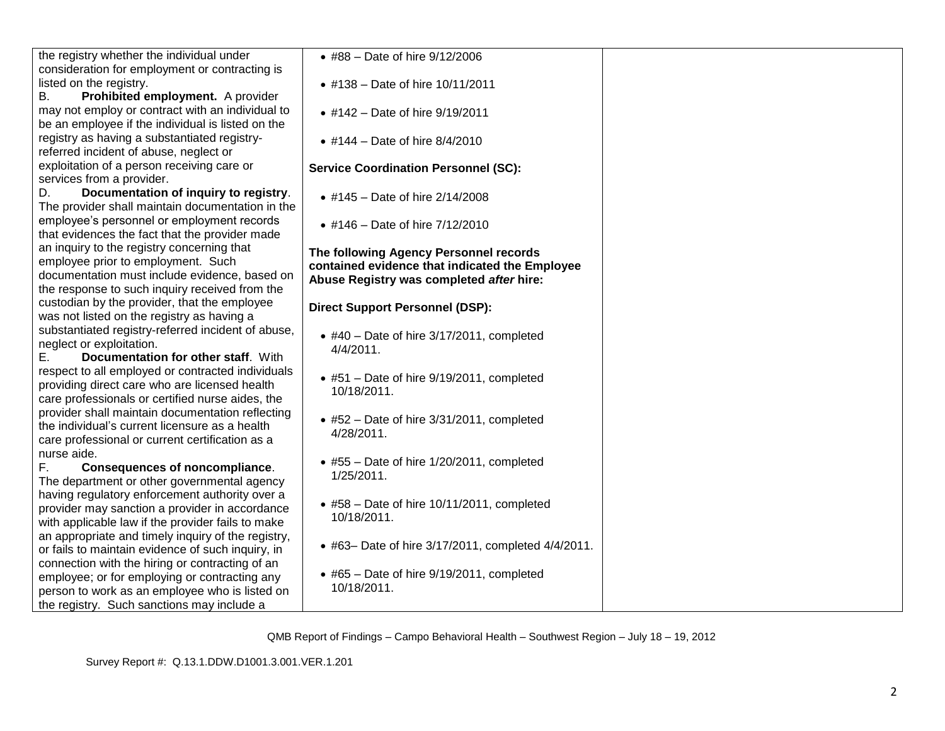| the registry whether the individual under                                                    | • #88 - Date of hire 9/12/2006                                  |  |
|----------------------------------------------------------------------------------------------|-----------------------------------------------------------------|--|
| consideration for employment or contracting is<br>listed on the registry.                    | • #138 - Date of hire 10/11/2011                                |  |
| Prohibited employment. A provider<br>В.                                                      |                                                                 |  |
| may not employ or contract with an individual to                                             | • #142 - Date of hire 9/19/2011                                 |  |
| be an employee if the individual is listed on the                                            |                                                                 |  |
| registry as having a substantiated registry-                                                 | • #144 – Date of hire $8/4/2010$                                |  |
| referred incident of abuse, neglect or                                                       |                                                                 |  |
| exploitation of a person receiving care or                                                   | <b>Service Coordination Personnel (SC):</b>                     |  |
| services from a provider.                                                                    |                                                                 |  |
| Documentation of inquiry to registry.<br>D.                                                  | • #145 - Date of hire 2/14/2008                                 |  |
| The provider shall maintain documentation in the                                             |                                                                 |  |
| employee's personnel or employment records                                                   | • #146 - Date of hire 7/12/2010                                 |  |
| that evidences the fact that the provider made                                               |                                                                 |  |
| an inquiry to the registry concerning that                                                   | The following Agency Personnel records                          |  |
| employee prior to employment. Such                                                           | contained evidence that indicated the Employee                  |  |
| documentation must include evidence, based on                                                | Abuse Registry was completed after hire:                        |  |
| the response to such inquiry received from the                                               |                                                                 |  |
| custodian by the provider, that the employee<br>was not listed on the registry as having a   | <b>Direct Support Personnel (DSP):</b>                          |  |
| substantiated registry-referred incident of abuse,                                           |                                                                 |  |
| neglect or exploitation.                                                                     | $\bullet$ #40 - Date of hire 3/17/2011, completed               |  |
| Documentation for other staff. With<br>Е.                                                    | 4/4/2011.                                                       |  |
| respect to all employed or contracted individuals                                            |                                                                 |  |
| providing direct care who are licensed health                                                | $\bullet$ #51 - Date of hire 9/19/2011, completed               |  |
| care professionals or certified nurse aides, the                                             | 10/18/2011.                                                     |  |
| provider shall maintain documentation reflecting                                             |                                                                 |  |
| the individual's current licensure as a health                                               | $\bullet$ #52 - Date of hire 3/31/2011, completed               |  |
| care professional or current certification as a                                              | 4/28/2011.                                                      |  |
| nurse aide.                                                                                  |                                                                 |  |
| F.<br><b>Consequences of noncompliance.</b>                                                  | $\bullet$ #55 - Date of hire 1/20/2011, completed<br>1/25/2011. |  |
| The department or other governmental agency                                                  |                                                                 |  |
| having regulatory enforcement authority over a                                               | $\bullet$ #58 - Date of hire 10/11/2011, completed              |  |
| provider may sanction a provider in accordance                                               | 10/18/2011.                                                     |  |
| with applicable law if the provider fails to make                                            |                                                                 |  |
| an appropriate and timely inquiry of the registry,                                           | • #63- Date of hire 3/17/2011, completed 4/4/2011.              |  |
| or fails to maintain evidence of such inquiry, in                                            |                                                                 |  |
| connection with the hiring or contracting of an                                              | $\bullet$ #65 - Date of hire 9/19/2011, completed               |  |
| employee; or for employing or contracting any                                                | 10/18/2011.                                                     |  |
| person to work as an employee who is listed on<br>the registry. Such sanctions may include a |                                                                 |  |
|                                                                                              |                                                                 |  |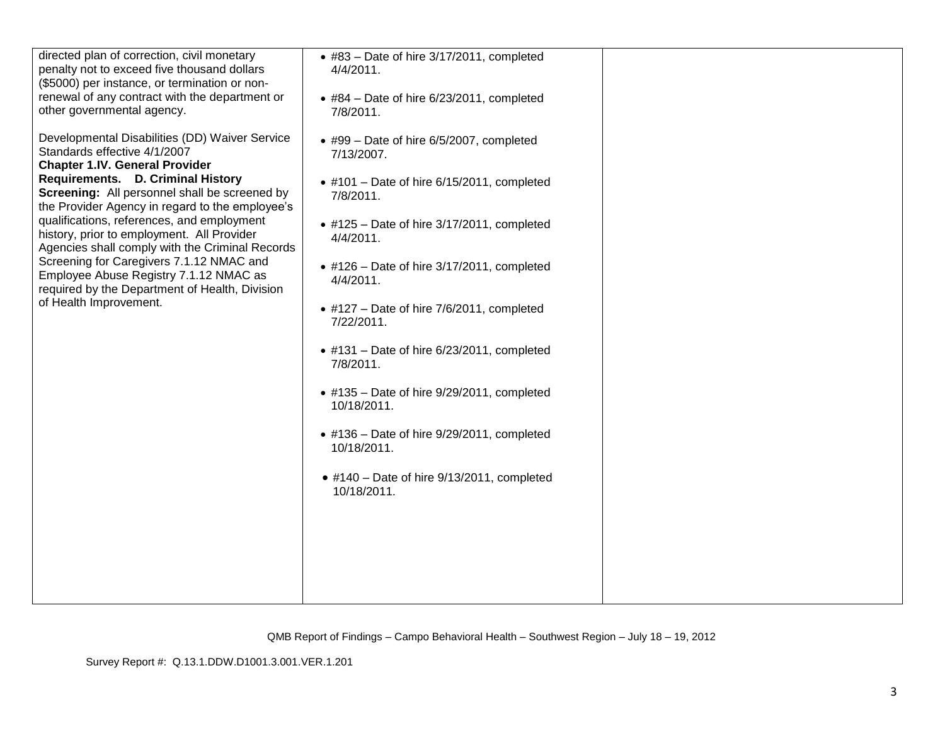| directed plan of correction, civil monetary<br>penalty not to exceed five thousand dollars<br>(\$5000) per instance, or termination or non-<br>renewal of any contract with the department or<br>other governmental agency.<br>Developmental Disabilities (DD) Waiver Service<br>Standards effective 4/1/2007<br><b>Chapter 1.IV. General Provider</b><br>Requirements. D. Criminal History<br>Screening: All personnel shall be screened by<br>the Provider Agency in regard to the employee's<br>qualifications, references, and employment<br>history, prior to employment. All Provider<br>Agencies shall comply with the Criminal Records<br>Screening for Caregivers 7.1.12 NMAC and<br>Employee Abuse Registry 7.1.12 NMAC as<br>required by the Department of Health, Division<br>of Health Improvement. | • #83 - Date of hire 3/17/2011, completed<br>$4/4/2011$ .<br>$\bullet$ #84 - Date of hire 6/23/2011, completed<br>7/8/2011.<br>• #99 - Date of hire 6/5/2007, completed<br>7/13/2007.<br>$\bullet$ #101 – Date of hire 6/15/2011, completed<br>7/8/2011.<br>$\bullet$ #125 – Date of hire 3/17/2011, completed<br>4/4/2011.<br>$\bullet$ #126 – Date of hire 3/17/2011, completed<br>4/4/2011.<br>$\bullet$ #127 – Date of hire 7/6/2011, completed<br>7/22/2011.<br>$\bullet$ #131 - Date of hire 6/23/2011, completed<br>7/8/2011.<br>$\bullet$ #135 - Date of hire 9/29/2011, completed<br>10/18/2011.<br>$\bullet$ #136 – Date of hire 9/29/2011, completed<br>10/18/2011.<br>$\bullet$ #140 – Date of hire 9/13/2011, completed<br>10/18/2011. |  |
|------------------------------------------------------------------------------------------------------------------------------------------------------------------------------------------------------------------------------------------------------------------------------------------------------------------------------------------------------------------------------------------------------------------------------------------------------------------------------------------------------------------------------------------------------------------------------------------------------------------------------------------------------------------------------------------------------------------------------------------------------------------------------------------------------------------|-----------------------------------------------------------------------------------------------------------------------------------------------------------------------------------------------------------------------------------------------------------------------------------------------------------------------------------------------------------------------------------------------------------------------------------------------------------------------------------------------------------------------------------------------------------------------------------------------------------------------------------------------------------------------------------------------------------------------------------------------------|--|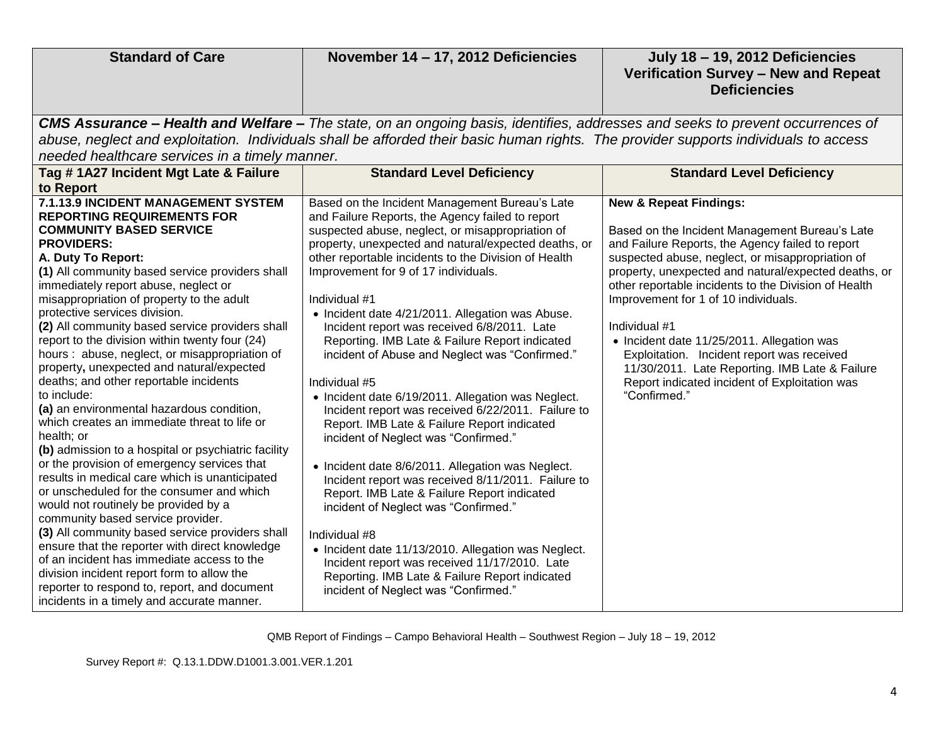| <b>Standard of Care</b>                                                                                                                                                                                                                                                                                                                                                                                                                                                                                                                                                                                                                                                                                                                                                                                                                                                                                                                                                                                                                                                                                                                                                                                                                                                                       | November 14 - 17, 2012 Deficiencies                                                                                                                                                                                                                                                                                                                                                                                                                                                                                                                                                                                                                                                                                                                                                                                                                                                                                                                                                                                                                                                                                                                                             | July 18 - 19, 2012 Deficiencies<br>Verification Survey - New and Repeat<br><b>Deficiencies</b>                                                                                                                                                                                                                                                                                                                                                                                                                                                                                      |  |
|-----------------------------------------------------------------------------------------------------------------------------------------------------------------------------------------------------------------------------------------------------------------------------------------------------------------------------------------------------------------------------------------------------------------------------------------------------------------------------------------------------------------------------------------------------------------------------------------------------------------------------------------------------------------------------------------------------------------------------------------------------------------------------------------------------------------------------------------------------------------------------------------------------------------------------------------------------------------------------------------------------------------------------------------------------------------------------------------------------------------------------------------------------------------------------------------------------------------------------------------------------------------------------------------------|---------------------------------------------------------------------------------------------------------------------------------------------------------------------------------------------------------------------------------------------------------------------------------------------------------------------------------------------------------------------------------------------------------------------------------------------------------------------------------------------------------------------------------------------------------------------------------------------------------------------------------------------------------------------------------------------------------------------------------------------------------------------------------------------------------------------------------------------------------------------------------------------------------------------------------------------------------------------------------------------------------------------------------------------------------------------------------------------------------------------------------------------------------------------------------|-------------------------------------------------------------------------------------------------------------------------------------------------------------------------------------------------------------------------------------------------------------------------------------------------------------------------------------------------------------------------------------------------------------------------------------------------------------------------------------------------------------------------------------------------------------------------------------|--|
| CMS Assurance - Health and Welfare - The state, on an ongoing basis, identifies, addresses and seeks to prevent occurrences of<br>abuse, neglect and exploitation. Individuals shall be afforded their basic human rights. The provider supports individuals to access<br>needed healthcare services in a timely manner.                                                                                                                                                                                                                                                                                                                                                                                                                                                                                                                                                                                                                                                                                                                                                                                                                                                                                                                                                                      |                                                                                                                                                                                                                                                                                                                                                                                                                                                                                                                                                                                                                                                                                                                                                                                                                                                                                                                                                                                                                                                                                                                                                                                 |                                                                                                                                                                                                                                                                                                                                                                                                                                                                                                                                                                                     |  |
| Tag # 1A27 Incident Mgt Late & Failure<br>to Report                                                                                                                                                                                                                                                                                                                                                                                                                                                                                                                                                                                                                                                                                                                                                                                                                                                                                                                                                                                                                                                                                                                                                                                                                                           | <b>Standard Level Deficiency</b>                                                                                                                                                                                                                                                                                                                                                                                                                                                                                                                                                                                                                                                                                                                                                                                                                                                                                                                                                                                                                                                                                                                                                | <b>Standard Level Deficiency</b>                                                                                                                                                                                                                                                                                                                                                                                                                                                                                                                                                    |  |
| <b>7.1.13.9 INCIDENT MANAGEMENT SYSTEM</b><br><b>REPORTING REQUIREMENTS FOR</b><br><b>COMMUNITY BASED SERVICE</b><br><b>PROVIDERS:</b><br>A. Duty To Report:<br>(1) All community based service providers shall<br>immediately report abuse, neglect or<br>misappropriation of property to the adult<br>protective services division.<br>(2) All community based service providers shall<br>report to the division within twenty four (24)<br>hours: abuse, neglect, or misappropriation of<br>property, unexpected and natural/expected<br>deaths; and other reportable incidents<br>to include:<br>(a) an environmental hazardous condition,<br>which creates an immediate threat to life or<br>health; or<br>(b) admission to a hospital or psychiatric facility<br>or the provision of emergency services that<br>results in medical care which is unanticipated<br>or unscheduled for the consumer and which<br>would not routinely be provided by a<br>community based service provider.<br>(3) All community based service providers shall<br>ensure that the reporter with direct knowledge<br>of an incident has immediate access to the<br>division incident report form to allow the<br>reporter to respond to, report, and document<br>incidents in a timely and accurate manner. | Based on the Incident Management Bureau's Late<br>and Failure Reports, the Agency failed to report<br>suspected abuse, neglect, or misappropriation of<br>property, unexpected and natural/expected deaths, or<br>other reportable incidents to the Division of Health<br>Improvement for 9 of 17 individuals.<br>Individual #1<br>• Incident date 4/21/2011. Allegation was Abuse.<br>Incident report was received 6/8/2011. Late<br>Reporting. IMB Late & Failure Report indicated<br>incident of Abuse and Neglect was "Confirmed."<br>Individual #5<br>• Incident date 6/19/2011. Allegation was Neglect.<br>Incident report was received 6/22/2011. Failure to<br>Report. IMB Late & Failure Report indicated<br>incident of Neglect was "Confirmed."<br>• Incident date 8/6/2011. Allegation was Neglect.<br>Incident report was received 8/11/2011. Failure to<br>Report. IMB Late & Failure Report indicated<br>incident of Neglect was "Confirmed."<br>Individual #8<br>• Incident date 11/13/2010. Allegation was Neglect.<br>Incident report was received 11/17/2010. Late<br>Reporting. IMB Late & Failure Report indicated<br>incident of Neglect was "Confirmed." | <b>New &amp; Repeat Findings:</b><br>Based on the Incident Management Bureau's Late<br>and Failure Reports, the Agency failed to report<br>suspected abuse, neglect, or misappropriation of<br>property, unexpected and natural/expected deaths, or<br>other reportable incidents to the Division of Health<br>Improvement for 1 of 10 individuals.<br>Individual #1<br>• Incident date 11/25/2011. Allegation was<br>Exploitation. Incident report was received<br>11/30/2011. Late Reporting. IMB Late & Failure<br>Report indicated incident of Exploitation was<br>"Confirmed." |  |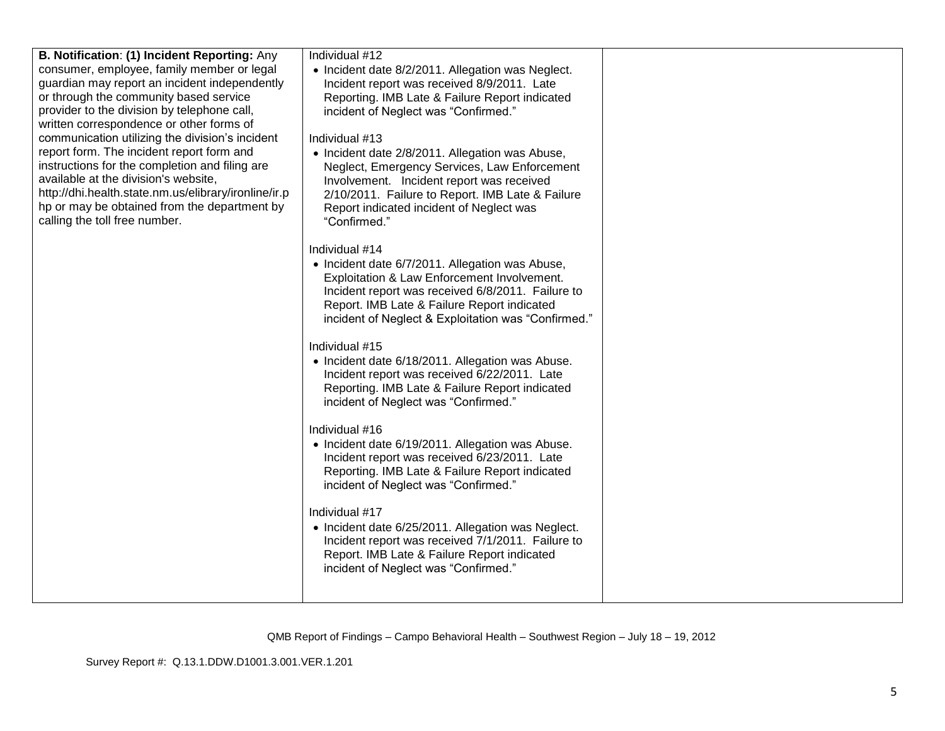| B. Notification: (1) Incident Reporting: Any<br>consumer, employee, family member or legal<br>guardian may report an incident independently<br>or through the community based service<br>provider to the division by telephone call,<br>written correspondence or other forms of<br>communication utilizing the division's incident<br>report form. The incident report form and<br>instructions for the completion and filing are<br>available at the division's website,<br>http://dhi.health.state.nm.us/elibrary/ironline/ir.p<br>hp or may be obtained from the department by<br>calling the toll free number. | Individual #12<br>• Incident date 8/2/2011. Allegation was Neglect.<br>Incident report was received 8/9/2011. Late<br>Reporting. IMB Late & Failure Report indicated<br>incident of Neglect was "Confirmed."<br>Individual #13<br>• Incident date 2/8/2011. Allegation was Abuse,<br>Neglect, Emergency Services, Law Enforcement<br>Involvement. Incident report was received<br>2/10/2011. Failure to Report. IMB Late & Failure<br>Report indicated incident of Neglect was<br>"Confirmed."<br>Individual #14<br>• Incident date 6/7/2011. Allegation was Abuse,<br>Exploitation & Law Enforcement Involvement.<br>Incident report was received 6/8/2011. Failure to<br>Report. IMB Late & Failure Report indicated<br>incident of Neglect & Exploitation was "Confirmed." |  |
|---------------------------------------------------------------------------------------------------------------------------------------------------------------------------------------------------------------------------------------------------------------------------------------------------------------------------------------------------------------------------------------------------------------------------------------------------------------------------------------------------------------------------------------------------------------------------------------------------------------------|-------------------------------------------------------------------------------------------------------------------------------------------------------------------------------------------------------------------------------------------------------------------------------------------------------------------------------------------------------------------------------------------------------------------------------------------------------------------------------------------------------------------------------------------------------------------------------------------------------------------------------------------------------------------------------------------------------------------------------------------------------------------------------|--|
|                                                                                                                                                                                                                                                                                                                                                                                                                                                                                                                                                                                                                     | Individual #15<br>• Incident date 6/18/2011. Allegation was Abuse.<br>Incident report was received 6/22/2011. Late<br>Reporting. IMB Late & Failure Report indicated<br>incident of Neglect was "Confirmed."                                                                                                                                                                                                                                                                                                                                                                                                                                                                                                                                                                  |  |
|                                                                                                                                                                                                                                                                                                                                                                                                                                                                                                                                                                                                                     | Individual #16<br>• Incident date 6/19/2011. Allegation was Abuse.<br>Incident report was received 6/23/2011. Late<br>Reporting. IMB Late & Failure Report indicated<br>incident of Neglect was "Confirmed."                                                                                                                                                                                                                                                                                                                                                                                                                                                                                                                                                                  |  |
|                                                                                                                                                                                                                                                                                                                                                                                                                                                                                                                                                                                                                     | Individual #17<br>• Incident date 6/25/2011. Allegation was Neglect.<br>Incident report was received 7/1/2011. Failure to<br>Report. IMB Late & Failure Report indicated<br>incident of Neglect was "Confirmed."                                                                                                                                                                                                                                                                                                                                                                                                                                                                                                                                                              |  |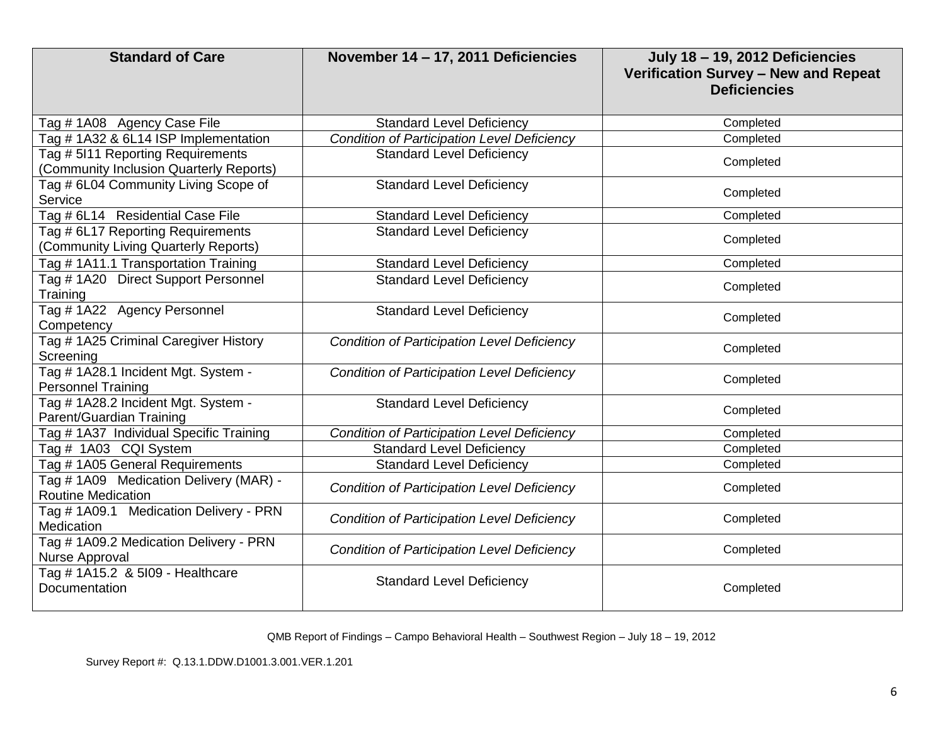| <b>Standard of Care</b>                                                      | November 14 - 17, 2011 Deficiencies                | <b>July 18-19, 2012 Deficiencies</b><br>Verification Survey - New and Repeat<br><b>Deficiencies</b> |
|------------------------------------------------------------------------------|----------------------------------------------------|-----------------------------------------------------------------------------------------------------|
| Tag # 1A08 Agency Case File                                                  | <b>Standard Level Deficiency</b>                   | Completed                                                                                           |
| Tag # 1A32 & 6L14 ISP Implementation                                         | <b>Condition of Participation Level Deficiency</b> | Completed                                                                                           |
| Tag # 5I11 Reporting Requirements<br>(Community Inclusion Quarterly Reports) | <b>Standard Level Deficiency</b>                   | Completed                                                                                           |
| Tag # 6L04 Community Living Scope of<br>Service                              | <b>Standard Level Deficiency</b>                   | Completed                                                                                           |
| Tag # 6L14 Residential Case File                                             | <b>Standard Level Deficiency</b>                   | Completed                                                                                           |
| Tag # 6L17 Reporting Requirements<br>(Community Living Quarterly Reports)    | <b>Standard Level Deficiency</b>                   | Completed                                                                                           |
| Tag # 1A11.1 Transportation Training                                         | <b>Standard Level Deficiency</b>                   | Completed                                                                                           |
| Tag # 1A20 Direct Support Personnel<br>Training                              | <b>Standard Level Deficiency</b>                   | Completed                                                                                           |
| Tag # 1A22 Agency Personnel<br>Competency                                    | <b>Standard Level Deficiency</b>                   | Completed                                                                                           |
| Tag # 1A25 Criminal Caregiver History<br>Screening                           | <b>Condition of Participation Level Deficiency</b> | Completed                                                                                           |
| Tag # 1A28.1 Incident Mgt. System -<br><b>Personnel Training</b>             | <b>Condition of Participation Level Deficiency</b> | Completed                                                                                           |
| Tag # 1A28.2 Incident Mgt. System -<br>Parent/Guardian Training              | <b>Standard Level Deficiency</b>                   | Completed                                                                                           |
| Tag # 1A37 Individual Specific Training                                      | <b>Condition of Participation Level Deficiency</b> | Completed                                                                                           |
| Tag # 1A03 CQI System                                                        | <b>Standard Level Deficiency</b>                   | Completed                                                                                           |
| Tag # 1A05 General Requirements                                              | <b>Standard Level Deficiency</b>                   | Completed                                                                                           |
| Tag # 1A09 Medication Delivery (MAR) -<br><b>Routine Medication</b>          | <b>Condition of Participation Level Deficiency</b> | Completed                                                                                           |
| Tag # 1A09.1 Medication Delivery - PRN<br>Medication                         | <b>Condition of Participation Level Deficiency</b> | Completed                                                                                           |
| Tag # 1A09.2 Medication Delivery - PRN<br>Nurse Approval                     | <b>Condition of Participation Level Deficiency</b> | Completed                                                                                           |
| Tag # 1A15.2 & 5109 - Healthcare<br>Documentation                            | <b>Standard Level Deficiency</b>                   | Completed                                                                                           |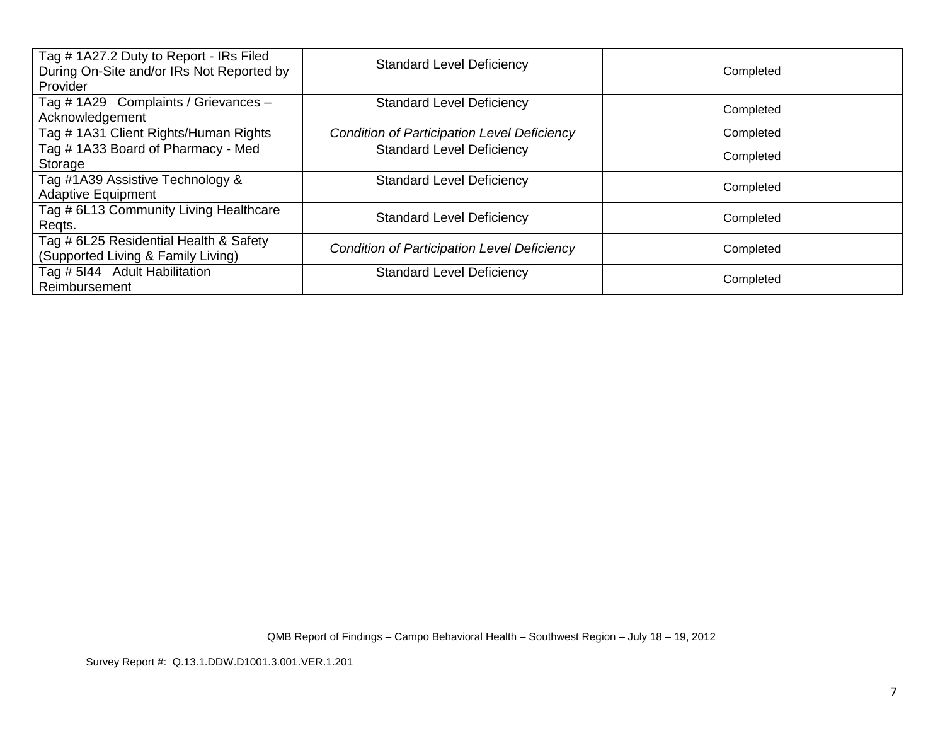| Tag #1A27.2 Duty to Report - IRs Filed<br>During On-Site and/or IRs Not Reported by<br><b>Provider</b> | <b>Standard Level Deficiency</b>                   | Completed |
|--------------------------------------------------------------------------------------------------------|----------------------------------------------------|-----------|
| Tag # 1A29 Complaints / Grievances -<br>Acknowledgement                                                | <b>Standard Level Deficiency</b>                   | Completed |
| Tag # 1A31 Client Rights/Human Rights                                                                  | <b>Condition of Participation Level Deficiency</b> | Completed |
| Tag #1A33 Board of Pharmacy - Med<br>Storage                                                           | <b>Standard Level Deficiency</b>                   | Completed |
| Tag #1A39 Assistive Technology &<br><b>Adaptive Equipment</b>                                          | <b>Standard Level Deficiency</b>                   | Completed |
| Tag # 6L13 Community Living Healthcare<br>Regts.                                                       | <b>Standard Level Deficiency</b>                   | Completed |
| Tag # 6L25 Residential Health & Safety<br>(Supported Living & Family Living)                           | <b>Condition of Participation Level Deficiency</b> | Completed |
| Tag # 5144 Adult Habilitation<br>Reimbursement                                                         | <b>Standard Level Deficiency</b>                   | Completed |